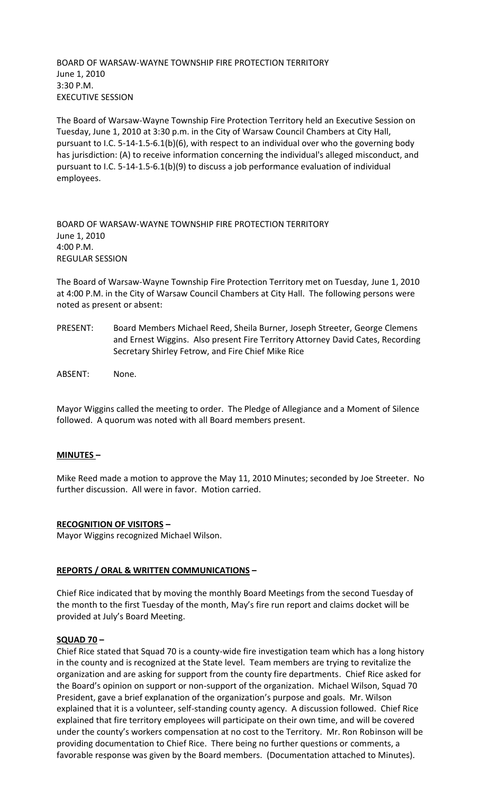BOARD OF WARSAW-WAYNE TOWNSHIP FIRE PROTECTION TERRITORY June 1, 2010 3:30 P.M. EXECUTIVE SESSION

The Board of Warsaw-Wayne Township Fire Protection Territory held an Executive Session on Tuesday, June 1, 2010 at 3:30 p.m. in the City of Warsaw Council Chambers at City Hall, pursuant to I.C. 5-14-1.5-6.1(b)(6), with respect to an individual over who the governing body has jurisdiction: (A) to receive information concerning the individual's alleged misconduct, and pursuant to I.C. 5-14-1.5-6.1(b)(9) to discuss a job performance evaluation of individual employees.

BOARD OF WARSAW-WAYNE TOWNSHIP FIRE PROTECTION TERRITORY June 1, 2010 4:00 P.M. REGULAR SESSION

The Board of Warsaw-Wayne Township Fire Protection Territory met on Tuesday, June 1, 2010 at 4:00 P.M. in the City of Warsaw Council Chambers at City Hall. The following persons were noted as present or absent:

- PRESENT: Board Members Michael Reed, Sheila Burner, Joseph Streeter, George Clemens and Ernest Wiggins. Also present Fire Territory Attorney David Cates, Recording Secretary Shirley Fetrow, and Fire Chief Mike Rice
- ABSENT: None.

Mayor Wiggins called the meeting to order. The Pledge of Allegiance and a Moment of Silence followed. A quorum was noted with all Board members present.

# **MINUTES –**

Mike Reed made a motion to approve the May 11, 2010 Minutes; seconded by Joe Streeter. No further discussion. All were in favor. Motion carried.

# **RECOGNITION OF VISITORS –**

Mayor Wiggins recognized Michael Wilson.

# **REPORTS / ORAL & WRITTEN COMMUNICATIONS –**

Chief Rice indicated that by moving the monthly Board Meetings from the second Tuesday of the month to the first Tuesday of the month, May's fire run report and claims docket will be provided at July's Board Meeting.

# **SQUAD 70 –**

Chief Rice stated that Squad 70 is a county-wide fire investigation team which has a long history in the county and is recognized at the State level. Team members are trying to revitalize the organization and are asking for support from the county fire departments. Chief Rice asked for the Board's opinion on support or non-support of the organization. Michael Wilson, Squad 70 President, gave a brief explanation of the organization's purpose and goals. Mr. Wilson explained that it is a volunteer, self-standing county agency. A discussion followed. Chief Rice explained that fire territory employees will participate on their own time, and will be covered under the county's workers compensation at no cost to the Territory. Mr. Ron Robinson will be providing documentation to Chief Rice. There being no further questions or comments, a favorable response was given by the Board members. (Documentation attached to Minutes).